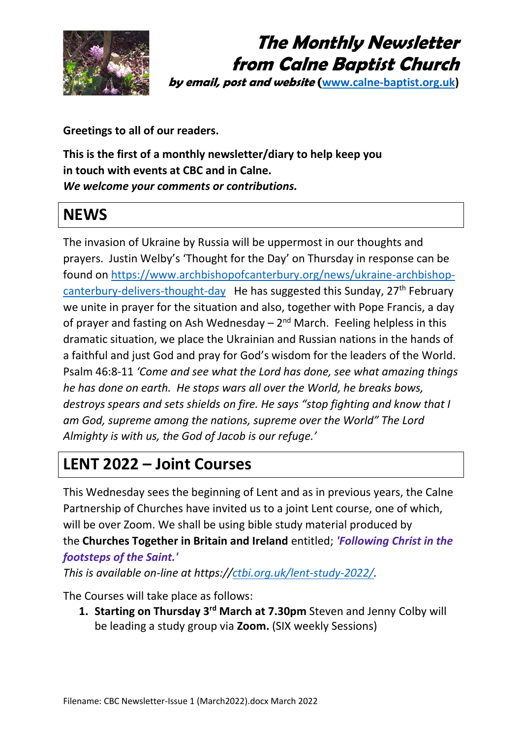

# **The Monthly Newsletter from Calne Baptist Church**

**by email, post and website ([www.calne-baptist.org.uk\)](http://www.calne-baptist.org.uk/)**

**Greetings to all of our readers.**

**This is the first of a monthly newsletter/diary to help keep you in touch with events at CBC and in Calne.**  *We welcome your comments or contributions.*

#### **NEWS**

The invasion of Ukraine by Russia will be uppermost in our thoughts and prayers. Justin Welby's 'Thought for the Day' on Thursday in response can be found on [https://www.archbishopofcanterbury.org/news/ukraine-archbishop](https://www.archbishopofcanterbury.org/news/ukraine-archbishop-canterbury-delivers-thought-day)[canterbury-delivers-thought-day](https://www.archbishopofcanterbury.org/news/ukraine-archbishop-canterbury-delivers-thought-day) He has suggested this Sunday, 27<sup>th</sup> February we unite in prayer for the situation and also, together with Pope Francis, a day of prayer and fasting on Ash Wednesday  $-2<sup>nd</sup>$  March. Feeling helpless in this dramatic situation, we place the Ukrainian and Russian nations in the hands of a faithful and just God and pray for God's wisdom for the leaders of the World. Psalm 46:8-11 *'Come and see what the Lord has done, see what amazing things he has done on earth. He stops wars all over the World, he breaks bows, destroys spears and sets shields on fire. He says "stop fighting and know that I am God, supreme among the nations, supreme over the World" The Lord Almighty is with us, the God of Jacob is our refuge.'* 

### **LENT 2022 – Joint Courses**

This Wednesday sees the beginning of Lent and as in previous years, the Calne Partnership of Churches have invited us to a joint Lent course, one of which, will be over Zoom. We shall be using bible study material produced by the **Churches Together in Britain and Ireland** entitled; *'Following Christ in the footsteps of the Saint.'*

*This is available on-line at https:/[/ctbi.org.uk/lent-study-2022/.](http://ctbi.org.uk/lent-study-2022/)*

The Courses will take place as follows:

1. Starting on Thursday 3<sup>rd</sup> March at 7.30pm Steven and Jenny Colby will be leading a study group via **Zoom.** (SIX weekly Sessions)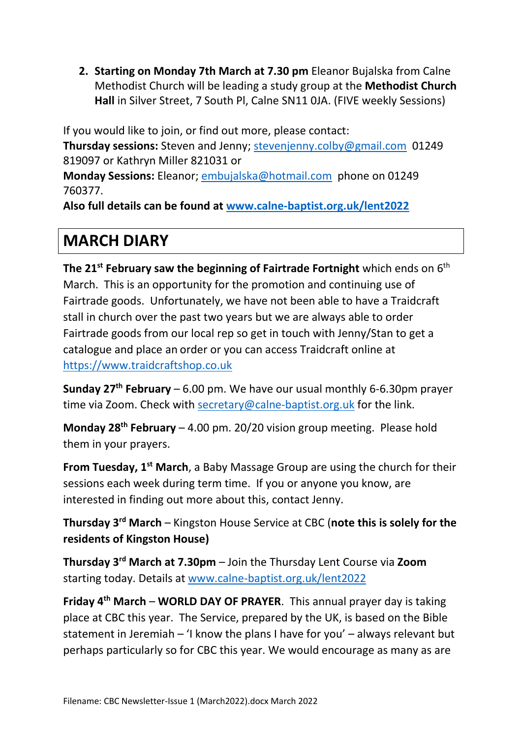**2. Starting on Monday 7th March at 7.30 pm** Eleanor Bujalska from Calne Methodist Church will be leading a study group at the **Methodist Church Hall** in Silver Street, 7 South Pl, Calne SN11 0JA. (FIVE weekly Sessions)

If you would like to join, or find out more, please contact: **Thursday sessions:** Steven and Jenny; [stevenjenny.colby@gmail.com](mailto:stevenjenny.colby@gmail.com) 01249 819097 or Kathryn Miller 821031 or

**Monday Sessions:** Eleanor; [embujalska@hotmail.com](mailto:embujalska@hotmail.com) phone on 01249 760377.

**Also full details can be found at [www.calne-baptist.org.uk/lent2022](http://www.calne-baptist.org.uk/lent2022)**

## **MARCH DIARY**

**The 21st February saw the beginning of Fairtrade Fortnight** which ends on 6th March. This is an opportunity for the promotion and continuing use of Fairtrade goods. Unfortunately, we have not been able to have a Traidcraft stall in church over the past two years but we are always able to order Fairtrade goods from our local rep so get in touch with Jenny/Stan to get a catalogue and place an order or you can access Traidcraft online at [https://www.traidcraftshop.co.uk](https://www.traidcraftshop.co.uk/)

Sunday 27<sup>th</sup> February – 6.00 pm. We have our usual monthly 6-6.30pm prayer time via Zoom. Check with [secretary@calne-baptist.org.uk](mailto:secretary@calne-baptist.org.uk) for the link.

**Monday 28th February** – 4.00 pm. 20/20 vision group meeting. Please hold them in your prayers.

**From Tuesday, 1st March**, a Baby Massage Group are using the church for their sessions each week during term time. If you or anyone you know, are interested in finding out more about this, contact Jenny.

**Thursday 3rd March** – Kingston House Service at CBC (**note this is solely for the residents of Kingston House)**

**Thursday 3 rd March at 7.30pm** – Join the Thursday Lent Course via **Zoom** starting today. Details at [www.calne-baptist.org.uk/lent2022](http://www.calne-baptist.org.uk/lent2022)

**Friday 4th March** – **WORLD DAY OF PRAYER**. This annual prayer day is taking place at CBC this year. The Service, prepared by the UK, is based on the Bible statement in Jeremiah – 'I know the plans I have for you' – always relevant but perhaps particularly so for CBC this year. We would encourage as many as are